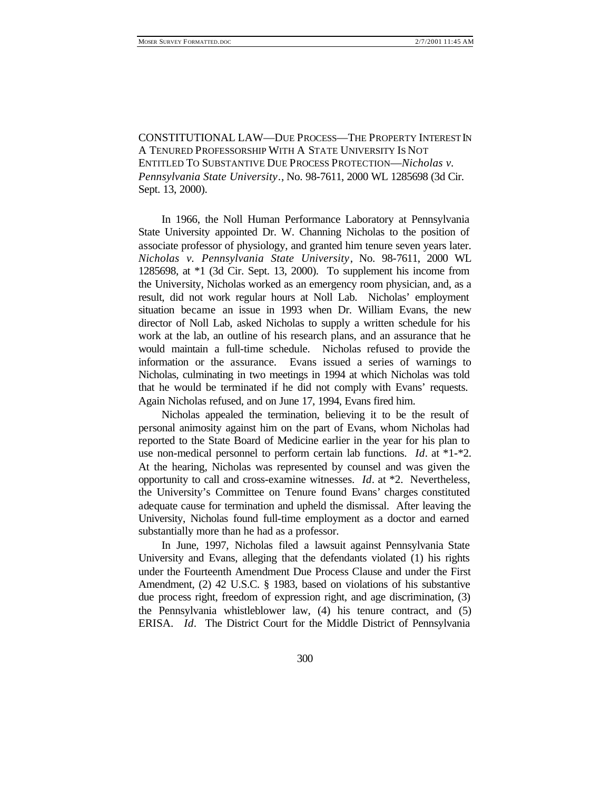CONSTITUTIONAL LAW—DUE PROCESS—THE PROPERTY INTEREST IN A TENURED PROFESSORSHIP WITH A STATE UNIVERSITY IS NOT ENTITLED TO SUBSTANTIVE DUE PROCESS PROTECTION—*Nicholas v. Pennsylvania State University.*, No. 98-7611, 2000 WL 1285698 (3d Cir. Sept. 13, 2000).

In 1966, the Noll Human Performance Laboratory at Pennsylvania State University appointed Dr. W. Channing Nicholas to the position of associate professor of physiology, and granted him tenure seven years later. *Nicholas v. Pennsylvania State University*, No. 98-7611, 2000 WL 1285698, at \*1 (3d Cir. Sept. 13, 2000). To supplement his income from the University, Nicholas worked as an emergency room physician, and, as a result, did not work regular hours at Noll Lab. Nicholas' employment situation became an issue in 1993 when Dr. William Evans, the new director of Noll Lab, asked Nicholas to supply a written schedule for his work at the lab, an outline of his research plans, and an assurance that he would maintain a full-time schedule. Nicholas refused to provide the information or the assurance. Evans issued a series of warnings to Nicholas, culminating in two meetings in 1994 at which Nicholas was told that he would be terminated if he did not comply with Evans' requests. Again Nicholas refused, and on June 17, 1994, Evans fired him.

Nicholas appealed the termination, believing it to be the result of personal animosity against him on the part of Evans, whom Nicholas had reported to the State Board of Medicine earlier in the year for his plan to use non-medical personnel to perform certain lab functions. *Id*. at \*1-\*2. At the hearing, Nicholas was represented by counsel and was given the opportunity to call and cross-examine witnesses. *Id*. at \*2. Nevertheless, the University's Committee on Tenure found Evans' charges constituted adequate cause for termination and upheld the dismissal. After leaving the University, Nicholas found full-time employment as a doctor and earned substantially more than he had as a professor.

In June, 1997, Nicholas filed a lawsuit against Pennsylvania State University and Evans, alleging that the defendants violated (1) his rights under the Fourteenth Amendment Due Process Clause and under the First Amendment, (2) 42 U.S.C. § 1983, based on violations of his substantive due process right, freedom of expression right, and age discrimination, (3) the Pennsylvania whistleblower law, (4) his tenure contract, and (5) ERISA. *Id*. The District Court for the Middle District of Pennsylvania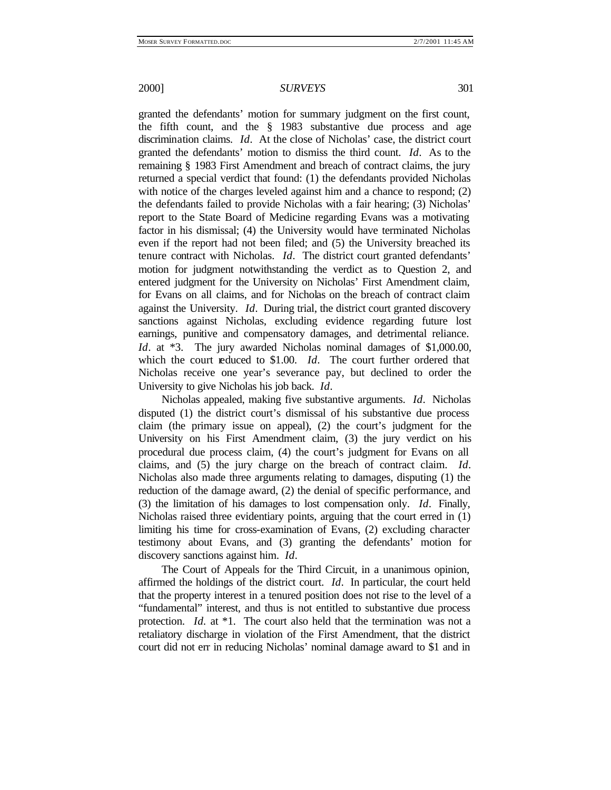granted the defendants' motion for summary judgment on the first count, the fifth count, and the § 1983 substantive due process and age discrimination claims. *Id*. At the close of Nicholas' case, the district court granted the defendants' motion to dismiss the third count. *Id*. As to the remaining § 1983 First Amendment and breach of contract claims, the jury returned a special verdict that found: (1) the defendants provided Nicholas with notice of the charges leveled against him and a chance to respond; (2) the defendants failed to provide Nicholas with a fair hearing; (3) Nicholas' report to the State Board of Medicine regarding Evans was a motivating factor in his dismissal; (4) the University would have terminated Nicholas even if the report had not been filed; and (5) the University breached its tenure contract with Nicholas. *Id*. The district court granted defendants' motion for judgment notwithstanding the verdict as to Question 2, and entered judgment for the University on Nicholas' First Amendment claim, for Evans on all claims, and for Nicholas on the breach of contract claim against the University. *Id*. During trial, the district court granted discovery sanctions against Nicholas, excluding evidence regarding future lost earnings, punitive and compensatory damages, and detrimental reliance. *Id.* at  $*3$ . The jury awarded Nicholas nominal damages of \$1,000,00, which the court reduced to \$1.00. *Id*. The court further ordered that Nicholas receive one year's severance pay, but declined to order the University to give Nicholas his job back. *Id*.

Nicholas appealed, making five substantive arguments. *Id*. Nicholas disputed (1) the district court's dismissal of his substantive due process claim (the primary issue on appeal), (2) the court's judgment for the University on his First Amendment claim, (3) the jury verdict on his procedural due process claim, (4) the court's judgment for Evans on all claims, and (5) the jury charge on the breach of contract claim. *Id*. Nicholas also made three arguments relating to damages, disputing (1) the reduction of the damage award, (2) the denial of specific performance, and (3) the limitation of his damages to lost compensation only. *Id*. Finally, Nicholas raised three evidentiary points, arguing that the court erred in (1) limiting his time for cross-examination of Evans, (2) excluding character testimony about Evans, and (3) granting the defendants' motion for discovery sanctions against him. *Id*.

The Court of Appeals for the Third Circuit, in a unanimous opinion, affirmed the holdings of the district court. *Id*. In particular, the court held that the property interest in a tenured position does not rise to the level of a "fundamental" interest, and thus is not entitled to substantive due process protection. *Id.* at \*1. The court also held that the termination was not a retaliatory discharge in violation of the First Amendment, that the district court did not err in reducing Nicholas' nominal damage award to \$1 and in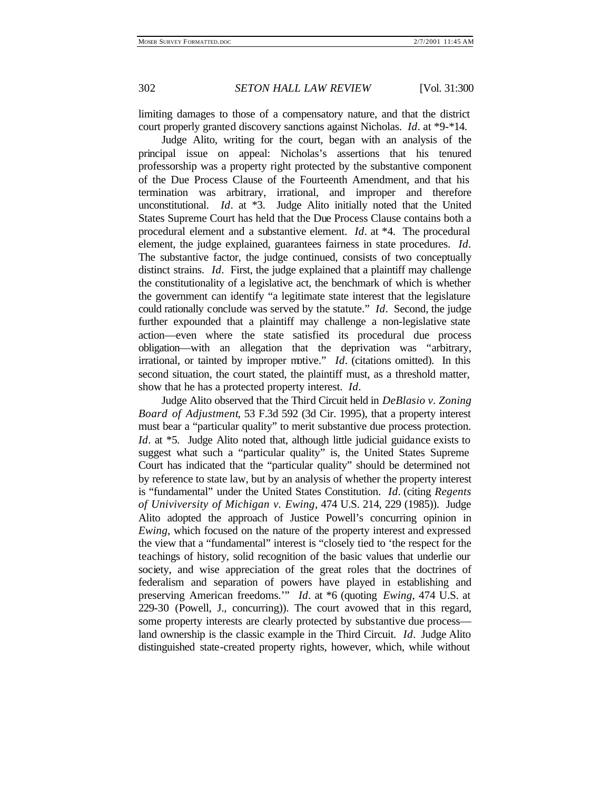302 *SETON HALL LAW REVIEW* [Vol. 31:300

limiting damages to those of a compensatory nature, and that the district court properly granted discovery sanctions against Nicholas. *Id*. at \*9-\*14.

Judge Alito, writing for the court, began with an analysis of the principal issue on appeal: Nicholas's assertions that his tenured professorship was a property right protected by the substantive component of the Due Process Clause of the Fourteenth Amendment, and that his termination was arbitrary, irrational, and improper and therefore unconstitutional. *Id*. at \*3. Judge Alito initially noted that the United States Supreme Court has held that the Due Process Clause contains both a procedural element and a substantive element. *Id*. at \*4. The procedural element, the judge explained, guarantees fairness in state procedures. *Id*. The substantive factor, the judge continued, consists of two conceptually distinct strains. *Id*. First, the judge explained that a plaintiff may challenge the constitutionality of a legislative act, the benchmark of which is whether the government can identify "a legitimate state interest that the legislature could rationally conclude was served by the statute." *Id*. Second, the judge further expounded that a plaintiff may challenge a non-legislative state action—even where the state satisfied its procedural due process obligation—with an allegation that the deprivation was "arbitrary, irrational, or tainted by improper motive." *Id*. (citations omitted). In this second situation, the court stated, the plaintiff must, as a threshold matter, show that he has a protected property interest. *Id*.

Judge Alito observed that the Third Circuit held in *DeBlasio v. Zoning Board of Adjustment*, 53 F.3d 592 (3d Cir. 1995), that a property interest must bear a "particular quality" to merit substantive due process protection. *Id.* at \*5. Judge Alito noted that, although little judicial guidance exists to suggest what such a "particular quality" is, the United States Supreme Court has indicated that the "particular quality" should be determined not by reference to state law, but by an analysis of whether the property interest is "fundamental" under the United States Constitution. *Id*. (citing *Regents of Univiversity of Michigan v. Ewing*, 474 U.S. 214, 229 (1985)). Judge Alito adopted the approach of Justice Powell's concurring opinion in *Ewing*, which focused on the nature of the property interest and expressed the view that a "fundamental" interest is "closely tied to 'the respect for the teachings of history, solid recognition of the basic values that underlie our society, and wise appreciation of the great roles that the doctrines of federalism and separation of powers have played in establishing and preserving American freedoms.'" *Id*. at \*6 (quoting *Ewing*, 474 U.S. at 229-30 (Powell, J., concurring)). The court avowed that in this regard, some property interests are clearly protected by substantive due process land ownership is the classic example in the Third Circuit. *Id*. Judge Alito distinguished state-created property rights, however, which, while without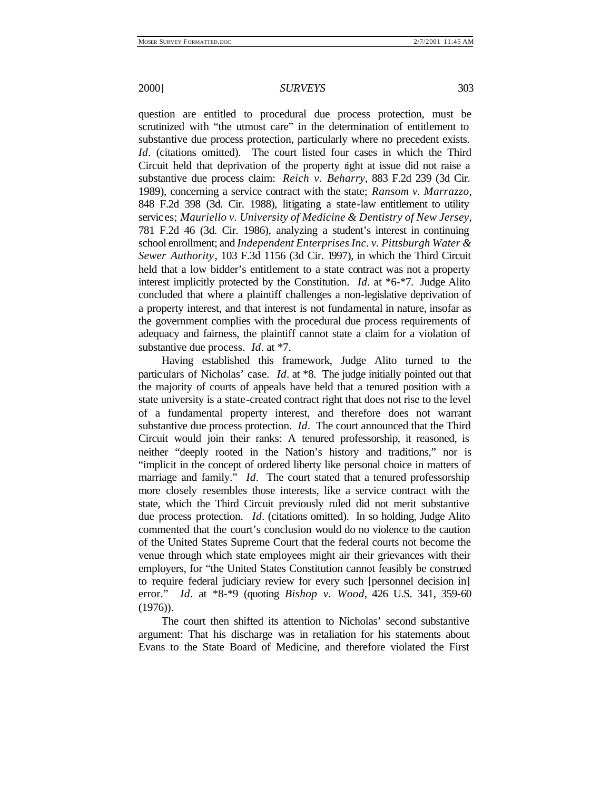question are entitled to procedural due process protection, must be scrutinized with "the utmost care" in the determination of entitlement to substantive due process protection, particularly where no precedent exists. *Id*. (citations omitted). The court listed four cases in which the Third Circuit held that deprivation of the property right at issue did not raise a substantive due process claim: *Reich v. Beharry*, 883 F.2d 239 (3d Cir. 1989), concerning a service contract with the state; *Ransom v. Marrazzo*, 848 F.2d 398 (3d. Cir. 1988), litigating a state-law entitlement to utility services; *Mauriello v. University of Medicine & Dentistry of New Jersey*, 781 F.2d 46 (3d. Cir. 1986), analyzing a student's interest in continuing school enrollment; and *Independent Enterprises Inc. v. Pittsburgh Water & Sewer Authority*, 103 F.3d 1156 (3d Cir. 1997), in which the Third Circuit held that a low bidder's entitlement to a state contract was not a property interest implicitly protected by the Constitution. *Id*. at \*6-\*7. Judge Alito concluded that where a plaintiff challenges a non-legislative deprivation of a property interest, and that interest is not fundamental in nature, insofar as the government complies with the procedural due process requirements of adequacy and fairness, the plaintiff cannot state a claim for a violation of substantive due process. *Id*. at \*7.

Having established this framework, Judge Alito turned to the particulars of Nicholas' case. *Id*. at \*8. The judge initially pointed out that the majority of courts of appeals have held that a tenured position with a state university is a state-created contract right that does not rise to the level of a fundamental property interest, and therefore does not warrant substantive due process protection. *Id*. The court announced that the Third Circuit would join their ranks: A tenured professorship, it reasoned, is neither "deeply rooted in the Nation's history and traditions," nor is "implicit in the concept of ordered liberty like personal choice in matters of marriage and family." *Id*. The court stated that a tenured professorship more closely resembles those interests, like a service contract with the state, which the Third Circuit previously ruled did not merit substantive due process protection. *Id*. (citations omitted). In so holding, Judge Alito commented that the court's conclusion would do no violence to the caution of the United States Supreme Court that the federal courts not become the venue through which state employees might air their grievances with their employers, for "the United States Constitution cannot feasibly be construed to require federal judiciary review for every such [personnel decision in] error." *Id*. at \*8-\*9 (quoting *Bishop v. Wood*, 426 U.S. 341, 359-60 (1976)).

The court then shifted its attention to Nicholas' second substantive argument: That his discharge was in retaliation for his statements about Evans to the State Board of Medicine, and therefore violated the First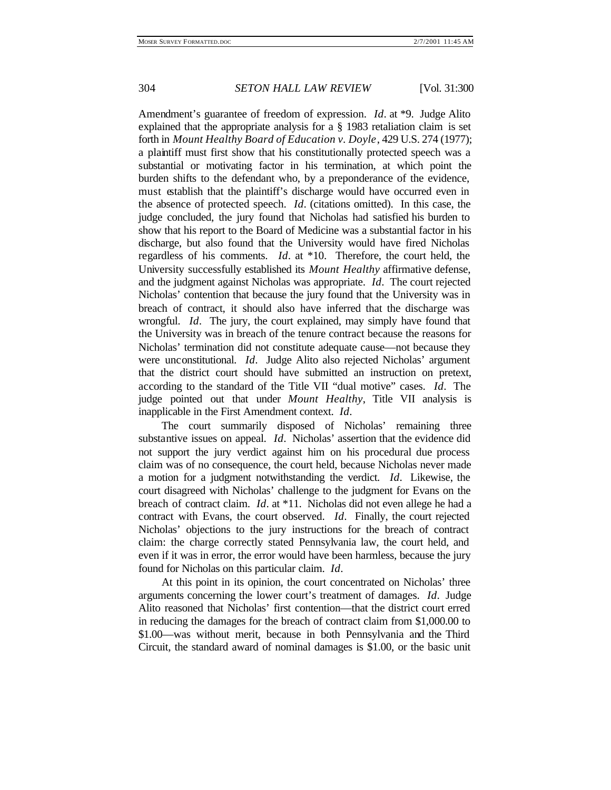#### 304 *SETON HALL LAW REVIEW* [Vol. 31:300

Amendment's guarantee of freedom of expression. *Id*. at \*9. Judge Alito explained that the appropriate analysis for a § 1983 retaliation claim is set forth in *Mount Healthy Board of Education v. Doyle*, 429 U.S. 274 (1977); a plaintiff must first show that his constitutionally protected speech was a substantial or motivating factor in his termination, at which point the burden shifts to the defendant who, by a preponderance of the evidence, must establish that the plaintiff's discharge would have occurred even in the absence of protected speech. *Id*. (citations omitted). In this case, the judge concluded, the jury found that Nicholas had satisfied his burden to show that his report to the Board of Medicine was a substantial factor in his discharge, but also found that the University would have fired Nicholas regardless of his comments. *Id*. at \*10. Therefore, the court held, the University successfully established its *Mount Healthy* affirmative defense, and the judgment against Nicholas was appropriate. *Id*. The court rejected Nicholas' contention that because the jury found that the University was in breach of contract, it should also have inferred that the discharge was wrongful. *Id*. The jury, the court explained, may simply have found that the University was in breach of the tenure contract because the reasons for Nicholas' termination did not constitute adequate cause—not because they were unconstitutional. *Id*. Judge Alito also rejected Nicholas' argument that the district court should have submitted an instruction on pretext, according to the standard of the Title VII "dual motive" cases. *Id*. The judge pointed out that under *Mount Healthy*, Title VII analysis is inapplicable in the First Amendment context. *Id*.

The court summarily disposed of Nicholas' remaining three substantive issues on appeal. *Id*. Nicholas' assertion that the evidence did not support the jury verdict against him on his procedural due process claim was of no consequence, the court held, because Nicholas never made a motion for a judgment notwithstanding the verdict. *Id*. Likewise, the court disagreed with Nicholas' challenge to the judgment for Evans on the breach of contract claim. *Id*. at \*11. Nicholas did not even allege he had a contract with Evans, the court observed. *Id*. Finally, the court rejected Nicholas' objections to the jury instructions for the breach of contract claim: the charge correctly stated Pennsylvania law, the court held, and even if it was in error, the error would have been harmless, because the jury found for Nicholas on this particular claim. *Id*.

At this point in its opinion, the court concentrated on Nicholas' three arguments concerning the lower court's treatment of damages. *Id*. Judge Alito reasoned that Nicholas' first contention—that the district court erred in reducing the damages for the breach of contract claim from \$1,000.00 to \$1.00—was without merit, because in both Pennsylvania and the Third Circuit, the standard award of nominal damages is \$1.00, or the basic unit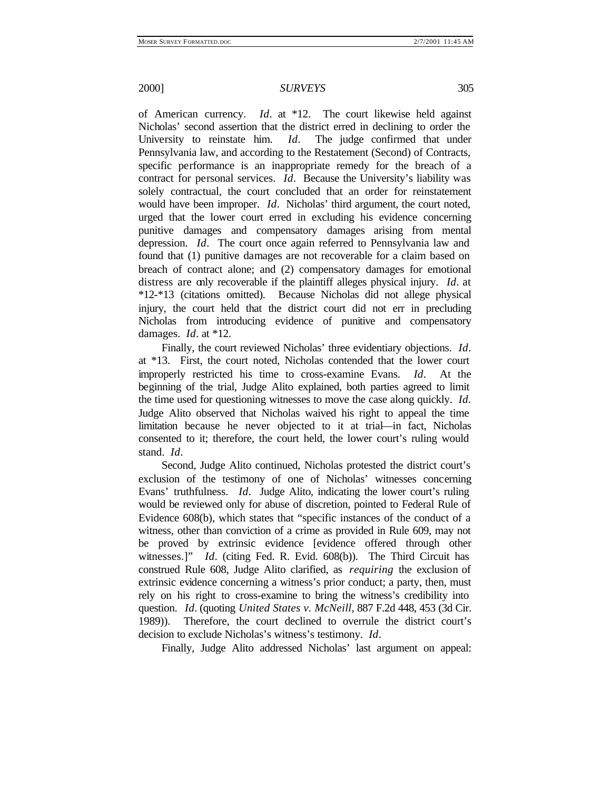of American currency. *Id*. at \*12. The court likewise held against Nicholas' second assertion that the district erred in declining to order the University to reinstate him. *Id*. The judge confirmed that under Pennsylvania law, and according to the Restatement (Second) of Contracts, specific performance is an inappropriate remedy for the breach of a contract for personal services. *Id*. Because the University's liability was solely contractual, the court concluded that an order for reinstatement would have been improper. *Id*. Nicholas' third argument, the court noted, urged that the lower court erred in excluding his evidence concerning punitive damages and compensatory damages arising from mental depression. *Id*. The court once again referred to Pennsylvania law and found that (1) punitive damages are not recoverable for a claim based on breach of contract alone; and (2) compensatory damages for emotional distress are only recoverable if the plaintiff alleges physical injury. *Id*. at \*12-\*13 (citations omitted). Because Nicholas did not allege physical injury, the court held that the district court did not err in precluding Nicholas from introducing evidence of punitive and compensatory damages. *Id*. at \*12.

Finally, the court reviewed Nicholas' three evidentiary objections. *Id*. at \*13. First, the court noted, Nicholas contended that the lower court improperly restricted his time to cross-examine Evans. *Id*. At the beginning of the trial, Judge Alito explained, both parties agreed to limit the time used for questioning witnesses to move the case along quickly. *Id*. Judge Alito observed that Nicholas waived his right to appeal the time limitation because he never objected to it at trial—in fact, Nicholas consented to it; therefore, the court held, the lower court's ruling would stand. *Id*.

Second, Judge Alito continued, Nicholas protested the district court's exclusion of the testimony of one of Nicholas' witnesses concerning Evans' truthfulness. *Id*. Judge Alito, indicating the lower court's ruling would be reviewed only for abuse of discretion, pointed to Federal Rule of Evidence 608(b), which states that "specific instances of the conduct of a witness, other than conviction of a crime as provided in Rule 609, may not be proved by extrinsic evidence [evidence offered through other witnesses.]" *Id*. (citing Fed. R. Evid. 608(b)). The Third Circuit has construed Rule 608, Judge Alito clarified, as *requiring* the exclusion of extrinsic evidence concerning a witness's prior conduct; a party, then, must rely on his right to cross-examine to bring the witness's credibility into question. *Id*. (quoting *United States v. McNeill*, 887 F.2d 448, 453 (3d Cir. 1989)). Therefore, the court declined to overrule the district court's decision to exclude Nicholas's witness's testimony. *Id*.

Finally, Judge Alito addressed Nicholas' last argument on appeal: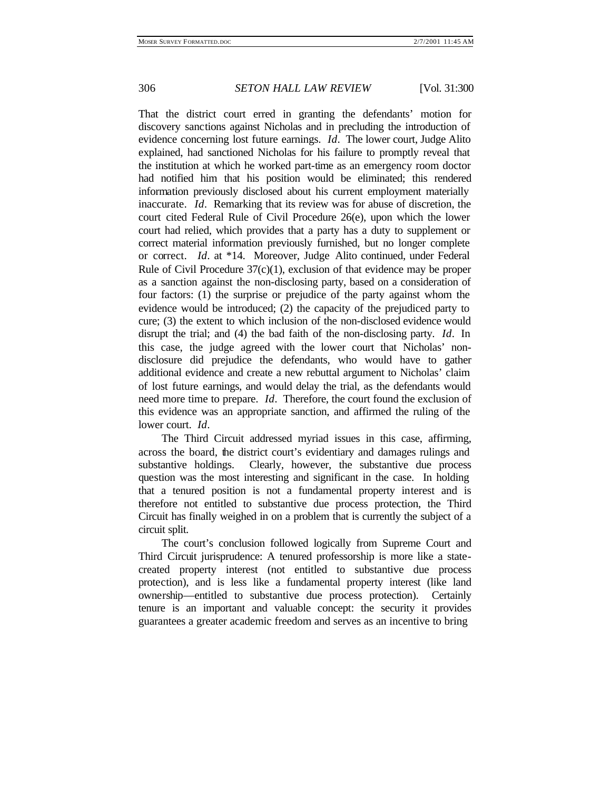306 *SETON HALL LAW REVIEW* [Vol. 31:300

That the district court erred in granting the defendants' motion for discovery sanctions against Nicholas and in precluding the introduction of evidence concerning lost future earnings. *Id*. The lower court, Judge Alito explained, had sanctioned Nicholas for his failure to promptly reveal that the institution at which he worked part-time as an emergency room doctor had notified him that his position would be eliminated; this rendered information previously disclosed about his current employment materially inaccurate. *Id*. Remarking that its review was for abuse of discretion, the court cited Federal Rule of Civil Procedure 26(e), upon which the lower court had relied, which provides that a party has a duty to supplement or correct material information previously furnished, but no longer complete or correct. *Id*. at \*14. Moreover, Judge Alito continued, under Federal Rule of Civil Procedure  $37(c)(1)$ , exclusion of that evidence may be proper as a sanction against the non-disclosing party, based on a consideration of four factors: (1) the surprise or prejudice of the party against whom the evidence would be introduced; (2) the capacity of the prejudiced party to cure; (3) the extent to which inclusion of the non-disclosed evidence would disrupt the trial; and (4) the bad faith of the non-disclosing party. *Id*. In this case, the judge agreed with the lower court that Nicholas' nondisclosure did prejudice the defendants, who would have to gather additional evidence and create a new rebuttal argument to Nicholas' claim of lost future earnings, and would delay the trial, as the defendants would need more time to prepare. *Id*. Therefore, the court found the exclusion of this evidence was an appropriate sanction, and affirmed the ruling of the lower court. *Id*.

The Third Circuit addressed myriad issues in this case, affirming, across the board, the district court's evidentiary and damages rulings and substantive holdings. Clearly, however, the substantive due process question was the most interesting and significant in the case. In holding that a tenured position is not a fundamental property interest and is therefore not entitled to substantive due process protection, the Third Circuit has finally weighed in on a problem that is currently the subject of a circuit split.

The court's conclusion followed logically from Supreme Court and Third Circuit jurisprudence: A tenured professorship is more like a statecreated property interest (not entitled to substantive due process protection), and is less like a fundamental property interest (like land ownership—entitled to substantive due process protection). Certainly tenure is an important and valuable concept: the security it provides guarantees a greater academic freedom and serves as an incentive to bring